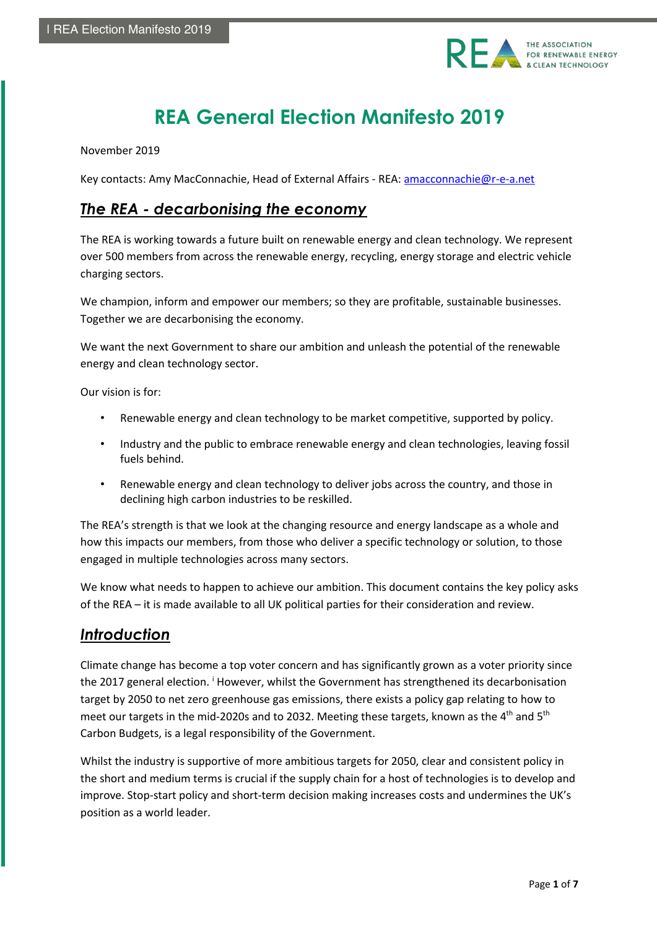

# **REA General Election Manifesto 2019**

November 2019

Key contacts: Amy MacConnachie, Head of External Affairs - REA: amacconnachie@r-e-a.net

### *The REA - decarbonising the economy*

The REA is working towards a future built on renewable energy and clean technology. We represent over 500 members from across the renewable energy, recycling, energy storage and electric vehicle charging sectors.

We champion, inform and empower our members; so they are profitable, sustainable businesses. Together we are decarbonising the economy.

We want the next Government to share our ambition and unleash the potential of the renewable energy and clean technology sector.

Our vision is for:

- Renewable energy and clean technology to be market competitive, supported by policy.
- Industry and the public to embrace renewable energy and clean technologies, leaving fossil fuels behind.
- Renewable energy and clean technology to deliver jobs across the country, and those in declining high carbon industries to be reskilled.

The REA's strength is that we look at the changing resource and energy landscape as a whole and how this impacts our members, from those who deliver a specific technology or solution, to those engaged in multiple technologies across many sectors.

We know what needs to happen to achieve our ambition. This document contains the key policy asks of the REA – it is made available to all UK political parties for their consideration and review.

### *Introduction*

Climate change has become a top voter concern and has significantly grown as a voter priority since the 2017 general election. <sup>i</sup> However, whilst the Government has strengthened its decarbonisation target by 2050 to net zero greenhouse gas emissions, there exists a policy gap relating to how to meet our targets in the mid-2020s and to 2032. Meeting these targets, known as the  $4<sup>th</sup>$  and  $5<sup>th</sup>$ Carbon Budgets, is a legal responsibility of the Government.

Whilst the industry is supportive of more ambitious targets for 2050, clear and consistent policy in the short and medium terms is crucial if the supply chain for a host of technologies is to develop and improve. Stop-start policy and short-term decision making increases costs and undermines the UK's position as a world leader.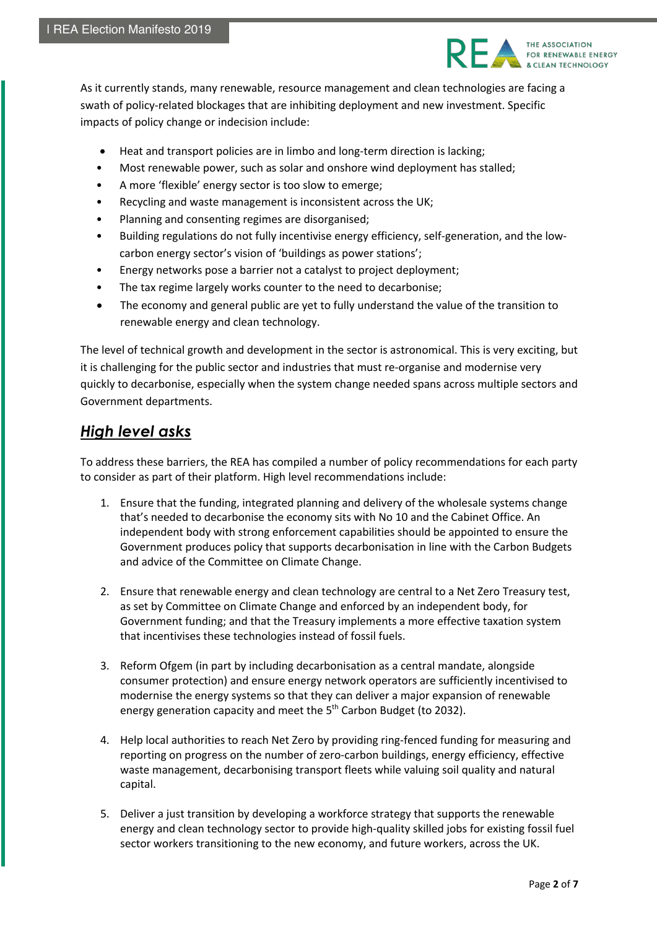

As it currently stands, many renewable, resource management and clean technologies are facing a swath of policy-related blockages that are inhibiting deployment and new investment. Specific impacts of policy change or indecision include:

- Heat and transport policies are in limbo and long-term direction is lacking;
- Most renewable power, such as solar and onshore wind deployment has stalled;
- A more 'flexible' energy sector is too slow to emerge;
- Recycling and waste management is inconsistent across the UK;
- Planning and consenting regimes are disorganised;
- Building regulations do not fully incentivise energy efficiency, self-generation, and the lowcarbon energy sector's vision of 'buildings as power stations';
- Energy networks pose a barrier not a catalyst to project deployment;
- The tax regime largely works counter to the need to decarbonise;
- The economy and general public are yet to fully understand the value of the transition to renewable energy and clean technology.

The level of technical growth and development in the sector is astronomical. This is very exciting, but it is challenging for the public sector and industries that must re-organise and modernise very quickly to decarbonise, especially when the system change needed spans across multiple sectors and Government departments.

# *High level asks*

To address these barriers, the REA has compiled a number of policy recommendations for each party to consider as part of their platform. High level recommendations include:

- 1. Ensure that the funding, integrated planning and delivery of the wholesale systems change that's needed to decarbonise the economy sits with No 10 and the Cabinet Office. An independent body with strong enforcement capabilities should be appointed to ensure the Government produces policy that supports decarbonisation in line with the Carbon Budgets and advice of the Committee on Climate Change.
- 2. Ensure that renewable energy and clean technology are central to a Net Zero Treasury test, as set by Committee on Climate Change and enforced by an independent body, for Government funding; and that the Treasury implements a more effective taxation system that incentivises these technologies instead of fossil fuels.
- 3. Reform Ofgem (in part by including decarbonisation as a central mandate, alongside consumer protection) and ensure energy network operators are sufficiently incentivised to modernise the energy systems so that they can deliver a major expansion of renewable energy generation capacity and meet the  $5<sup>th</sup>$  Carbon Budget (to 2032).
- 4. Help local authorities to reach Net Zero by providing ring-fenced funding for measuring and reporting on progress on the number of zero-carbon buildings, energy efficiency, effective waste management, decarbonising transport fleets while valuing soil quality and natural capital.
- 5. Deliver a just transition by developing a workforce strategy that supports the renewable energy and clean technology sector to provide high-quality skilled jobs for existing fossil fuel sector workers transitioning to the new economy, and future workers, across the UK.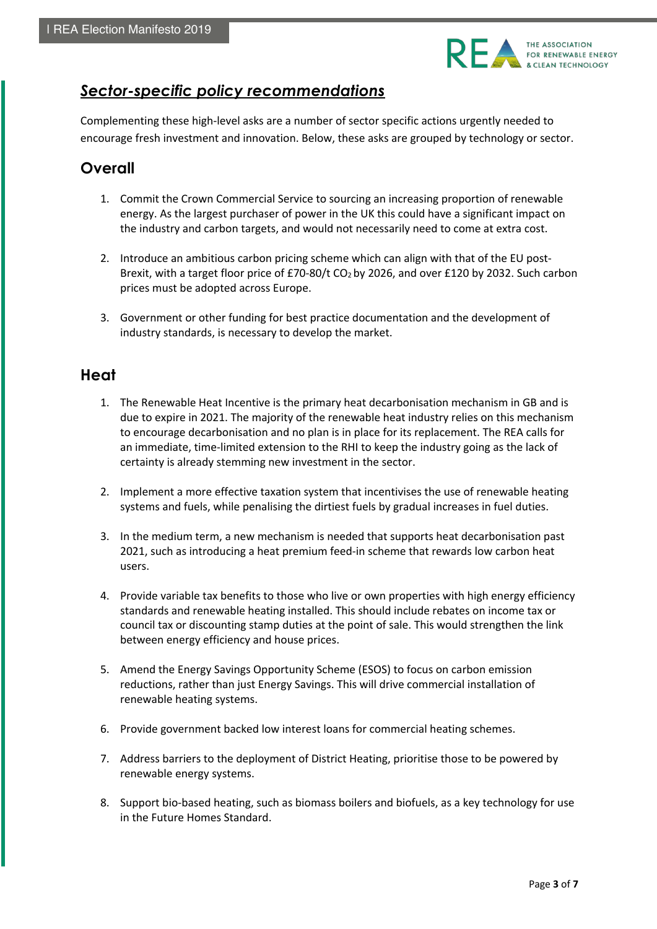

# *Sector-specific policy recommendations*

Complementing these high-level asks are a number of sector specific actions urgently needed to encourage fresh investment and innovation. Below, these asks are grouped by technology or sector.

# **Overall**

- 1. Commit the Crown Commercial Service to sourcing an increasing proportion of renewable energy. As the largest purchaser of power in the UK this could have a significant impact on the industry and carbon targets, and would not necessarily need to come at extra cost.
- 2. Introduce an ambitious carbon pricing scheme which can align with that of the EU post-Brexit, with a target floor price of £70-80/t CO<sub>2</sub> by 2026, and over £120 by 2032. Such carbon prices must be adopted across Europe.
- 3. Government or other funding for best practice documentation and the development of industry standards, is necessary to develop the market.

# **Heat**

- 1. The Renewable Heat Incentive is the primary heat decarbonisation mechanism in GB and is due to expire in 2021. The majority of the renewable heat industry relies on this mechanism to encourage decarbonisation and no plan is in place for its replacement. The REA calls for an immediate, time-limited extension to the RHI to keep the industry going as the lack of certainty is already stemming new investment in the sector.
- 2. Implement a more effective taxation system that incentivises the use of renewable heating systems and fuels, while penalising the dirtiest fuels by gradual increases in fuel duties.
- 3. In the medium term, a new mechanism is needed that supports heat decarbonisation past 2021, such as introducing a heat premium feed-in scheme that rewards low carbon heat users.
- 4. Provide variable tax benefits to those who live or own properties with high energy efficiency standards and renewable heating installed. This should include rebates on income tax or council tax or discounting stamp duties at the point of sale. This would strengthen the link between energy efficiency and house prices.
- 5. Amend the Energy Savings Opportunity Scheme (ESOS) to focus on carbon emission reductions, rather than just Energy Savings. This will drive commercial installation of renewable heating systems.
- 6. Provide government backed low interest loans for commercial heating schemes.
- 7. Address barriers to the deployment of District Heating, prioritise those to be powered by renewable energy systems.
- 8. Support bio-based heating, such as biomass boilers and biofuels, as a key technology for use in the Future Homes Standard.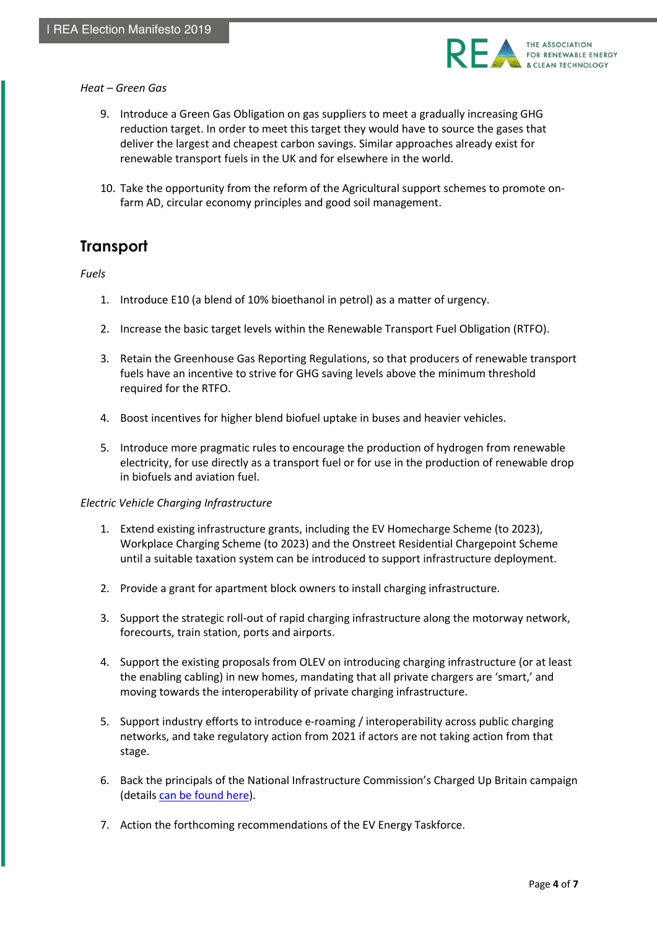

#### *Heat – Green Gas*

- 9. Introduce a Green Gas Obligation on gas suppliers to meet a gradually increasing GHG reduction target. In order to meet this target they would have to source the gases that deliver the largest and cheapest carbon savings. Similar approaches already exist for renewable transport fuels in the UK and for elsewhere in the world.
- 10. Take the opportunity from the reform of the Agricultural support schemes to promote onfarm AD, circular economy principles and good soil management.

### **Transport**

#### *Fuels*

- 1. Introduce E10 (a blend of 10% bioethanol in petrol) as a matter of urgency.
- 2. Increase the basic target levels within the Renewable Transport Fuel Obligation (RTFO).
- 3. Retain the Greenhouse Gas Reporting Regulations, so that producers of renewable transport fuels have an incentive to strive for GHG saving levels above the minimum threshold required for the RTFO.
- 4. Boost incentives for higher blend biofuel uptake in buses and heavier vehicles.
- 5. Introduce more pragmatic rules to encourage the production of hydrogen from renewable electricity, for use directly as a transport fuel or for use in the production of renewable drop in biofuels and aviation fuel.

#### *Electric Vehicle Charging Infrastructure*

- 1. Extend existing infrastructure grants, including the EV Homecharge Scheme (to 2023), Workplace Charging Scheme (to 2023) and the Onstreet Residential Chargepoint Scheme until a suitable taxation system can be introduced to support infrastructure deployment.
- 2. Provide a grant for apartment block owners to install charging infrastructure.
- 3. Support the strategic roll-out of rapid charging infrastructure along the motorway network, forecourts, train station, ports and airports.
- 4. Support the existing proposals from OLEV on introducing charging infrastructure (or at least the enabling cabling) in new homes, mandating that all private chargers are 'smart,' and moving towards the interoperability of private charging infrastructure.
- 5. Support industry efforts to introduce e-roaming / interoperability across public charging networks, and take regulatory action from 2021 if actors are not taking action from that stage.
- 6. Back the principals of the National Infrastructure Commission's Charged Up Britain campaign (details can be found here).
- 7. Action the forthcoming recommendations of the EV Energy Taskforce.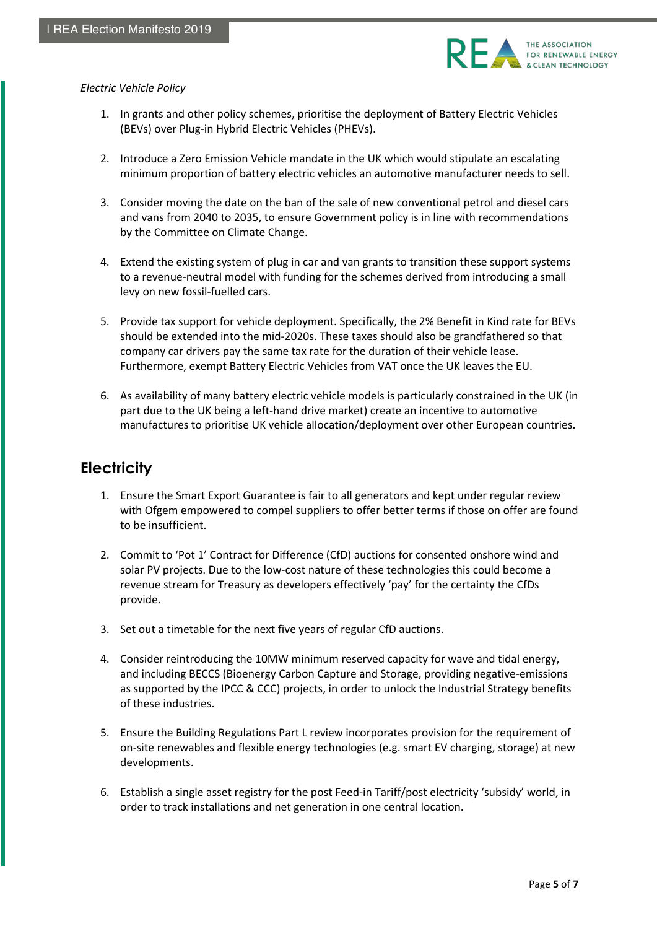

#### *Electric Vehicle Policy*

- 1. In grants and other policy schemes, prioritise the deployment of Battery Electric Vehicles (BEVs) over Plug-in Hybrid Electric Vehicles (PHEVs).
- 2. Introduce a Zero Emission Vehicle mandate in the UK which would stipulate an escalating minimum proportion of battery electric vehicles an automotive manufacturer needs to sell.
- 3. Consider moving the date on the ban of the sale of new conventional petrol and diesel cars and vans from 2040 to 2035, to ensure Government policy is in line with recommendations by the Committee on Climate Change.
- 4. Extend the existing system of plug in car and van grants to transition these support systems to a revenue-neutral model with funding for the schemes derived from introducing a small levy on new fossil-fuelled cars.
- 5. Provide tax support for vehicle deployment. Specifically, the 2% Benefit in Kind rate for BEVs should be extended into the mid-2020s. These taxes should also be grandfathered so that company car drivers pay the same tax rate for the duration of their vehicle lease. Furthermore, exempt Battery Electric Vehicles from VAT once the UK leaves the EU.
- 6. As availability of many battery electric vehicle models is particularly constrained in the UK (in part due to the UK being a left-hand drive market) create an incentive to automotive manufactures to prioritise UK vehicle allocation/deployment over other European countries.

# **Electricity**

- 1. Ensure the Smart Export Guarantee is fair to all generators and kept under regular review with Ofgem empowered to compel suppliers to offer better terms if those on offer are found to be insufficient.
- 2. Commit to 'Pot 1' Contract for Difference (CfD) auctions for consented onshore wind and solar PV projects. Due to the low-cost nature of these technologies this could become a revenue stream for Treasury as developers effectively 'pay' for the certainty the CfDs provide.
- 3. Set out a timetable for the next five years of regular CfD auctions.
- 4. Consider reintroducing the 10MW minimum reserved capacity for wave and tidal energy, and including BECCS (Bioenergy Carbon Capture and Storage, providing negative-emissions as supported by the IPCC & CCC) projects, in order to unlock the Industrial Strategy benefits of these industries.
- 5. Ensure the Building Regulations Part L review incorporates provision for the requirement of on-site renewables and flexible energy technologies (e.g. smart EV charging, storage) at new developments.
- 6. Establish a single asset registry for the post Feed-in Tariff/post electricity 'subsidy' world, in order to track installations and net generation in one central location.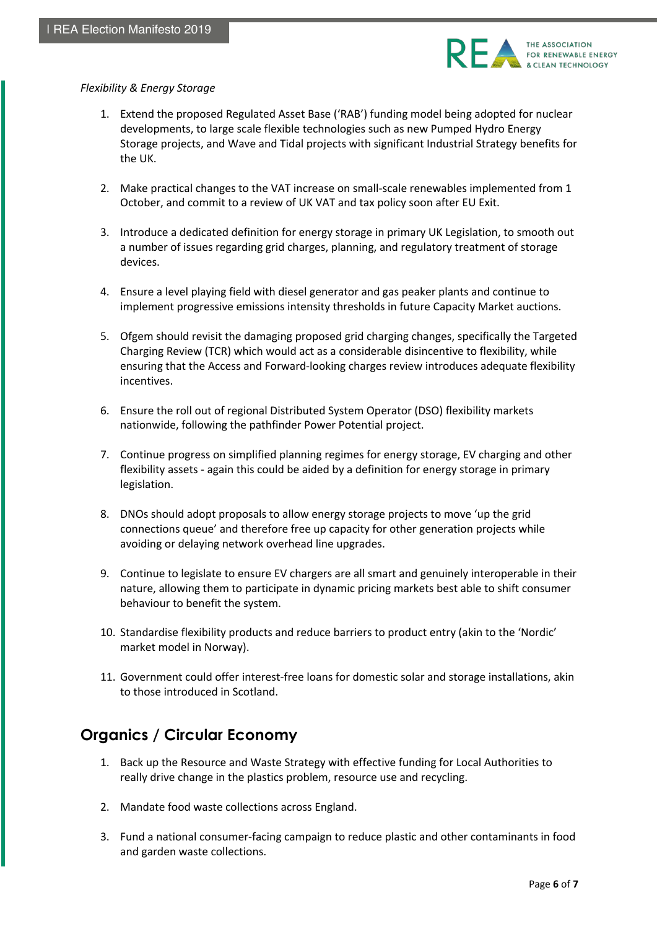

#### *Flexibility & Energy Storage*

- 1. Extend the proposed Regulated Asset Base ('RAB') funding model being adopted for nuclear developments, to large scale flexible technologies such as new Pumped Hydro Energy Storage projects, and Wave and Tidal projects with significant Industrial Strategy benefits for the UK.
- 2. Make practical changes to the VAT increase on small-scale renewables implemented from 1 October, and commit to a review of UK VAT and tax policy soon after EU Exit.
- 3. Introduce a dedicated definition for energy storage in primary UK Legislation, to smooth out a number of issues regarding grid charges, planning, and regulatory treatment of storage devices.
- 4. Ensure a level playing field with diesel generator and gas peaker plants and continue to implement progressive emissions intensity thresholds in future Capacity Market auctions.
- 5. Ofgem should revisit the damaging proposed grid charging changes, specifically the Targeted Charging Review (TCR) which would act as a considerable disincentive to flexibility, while ensuring that the Access and Forward-looking charges review introduces adequate flexibility incentives.
- 6. Ensure the roll out of regional Distributed System Operator (DSO) flexibility markets nationwide, following the pathfinder Power Potential project.
- 7. Continue progress on simplified planning regimes for energy storage, EV charging and other flexibility assets - again this could be aided by a definition for energy storage in primary legislation.
- 8. DNOs should adopt proposals to allow energy storage projects to move 'up the grid connections queue' and therefore free up capacity for other generation projects while avoiding or delaying network overhead line upgrades.
- 9. Continue to legislate to ensure EV chargers are all smart and genuinely interoperable in their nature, allowing them to participate in dynamic pricing markets best able to shift consumer behaviour to benefit the system.
- 10. Standardise flexibility products and reduce barriers to product entry (akin to the 'Nordic' market model in Norway).
- 11. Government could offer interest-free loans for domestic solar and storage installations, akin to those introduced in Scotland.

# **Organics / Circular Economy**

- 1. Back up the Resource and Waste Strategy with effective funding for Local Authorities to really drive change in the plastics problem, resource use and recycling.
- 2. Mandate food waste collections across England.
- 3. Fund a national consumer-facing campaign to reduce plastic and other contaminants in food and garden waste collections.